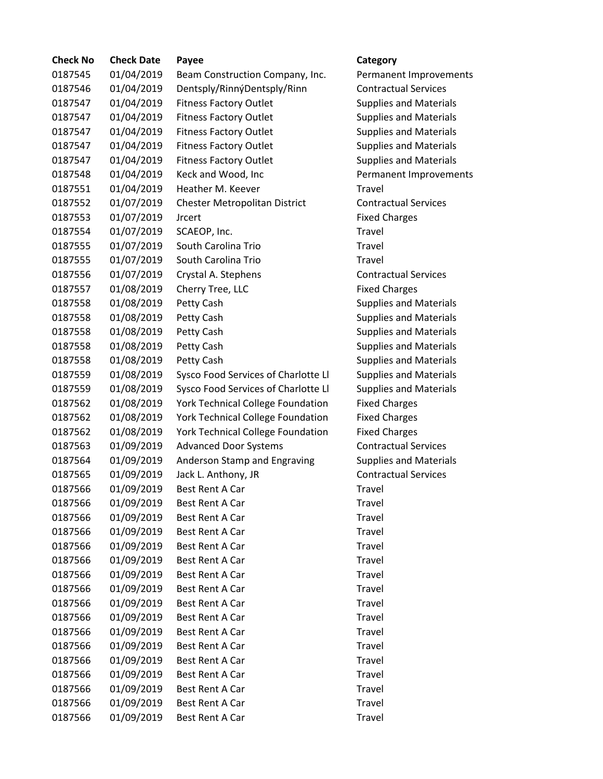| <b>Check No</b> | <b>Check Date</b> | Payee                                    | Category                      |
|-----------------|-------------------|------------------------------------------|-------------------------------|
| 0187545         | 01/04/2019        | Beam Construction Company, Inc.          | Permanent Improvements        |
| 0187546         | 01/04/2019        | Dentsply/RinnýDentsply/Rinn              | <b>Contractual Services</b>   |
| 0187547         | 01/04/2019        | <b>Fitness Factory Outlet</b>            | <b>Supplies and Materials</b> |
| 0187547         | 01/04/2019        | <b>Fitness Factory Outlet</b>            | <b>Supplies and Materials</b> |
| 0187547         | 01/04/2019        | <b>Fitness Factory Outlet</b>            | <b>Supplies and Materials</b> |
| 0187547         | 01/04/2019        | <b>Fitness Factory Outlet</b>            | <b>Supplies and Materials</b> |
| 0187547         | 01/04/2019        | <b>Fitness Factory Outlet</b>            | <b>Supplies and Materials</b> |
| 0187548         | 01/04/2019        | Keck and Wood, Inc                       | Permanent Improvements        |
| 0187551         | 01/04/2019        | Heather M. Keever                        | <b>Travel</b>                 |
| 0187552         | 01/07/2019        | Chester Metropolitan District            | <b>Contractual Services</b>   |
| 0187553         | 01/07/2019        | <b>Jrcert</b>                            | <b>Fixed Charges</b>          |
| 0187554         | 01/07/2019        | SCAEOP, Inc.                             | Travel                        |
| 0187555         | 01/07/2019        | South Carolina Trio                      | <b>Travel</b>                 |
| 0187555         | 01/07/2019        | South Carolina Trio                      | <b>Travel</b>                 |
| 0187556         | 01/07/2019        | Crystal A. Stephens                      | <b>Contractual Services</b>   |
| 0187557         | 01/08/2019        | Cherry Tree, LLC                         | <b>Fixed Charges</b>          |
| 0187558         | 01/08/2019        | Petty Cash                               | <b>Supplies and Materials</b> |
| 0187558         | 01/08/2019        | Petty Cash                               | <b>Supplies and Materials</b> |
| 0187558         | 01/08/2019        | Petty Cash                               | <b>Supplies and Materials</b> |
| 0187558         | 01/08/2019        | Petty Cash                               | <b>Supplies and Materials</b> |
| 0187558         | 01/08/2019        | Petty Cash                               | <b>Supplies and Materials</b> |
| 0187559         | 01/08/2019        | Sysco Food Services of Charlotte Ll      | <b>Supplies and Materials</b> |
| 0187559         | 01/08/2019        | Sysco Food Services of Charlotte Ll      | <b>Supplies and Materials</b> |
| 0187562         | 01/08/2019        | <b>York Technical College Foundation</b> | <b>Fixed Charges</b>          |
| 0187562         | 01/08/2019        | York Technical College Foundation        | <b>Fixed Charges</b>          |
| 0187562         | 01/08/2019        | York Technical College Foundation        | <b>Fixed Charges</b>          |
| 0187563         | 01/09/2019        | <b>Advanced Door Systems</b>             | <b>Contractual Services</b>   |
| 0187564         | 01/09/2019        | Anderson Stamp and Engraving             | <b>Supplies and Materials</b> |
| 0187565         | 01/09/2019        | Jack L. Anthony, JR                      | <b>Contractual Services</b>   |
| 0187566         | 01/09/2019        | <b>Best Rent A Car</b>                   | Travel                        |
| 0187566         | 01/09/2019        | <b>Best Rent A Car</b>                   | Travel                        |
| 0187566         | 01/09/2019        | <b>Best Rent A Car</b>                   | Travel                        |
| 0187566         | 01/09/2019        | Best Rent A Car                          | Travel                        |
| 0187566         | 01/09/2019        | Best Rent A Car                          | Travel                        |
| 0187566         | 01/09/2019        | <b>Best Rent A Car</b>                   | Travel                        |
| 0187566         | 01/09/2019        | Best Rent A Car                          | Travel                        |
| 0187566         | 01/09/2019        | <b>Best Rent A Car</b>                   | Travel                        |
| 0187566         | 01/09/2019        | Best Rent A Car                          | Travel                        |
| 0187566         | 01/09/2019        | Best Rent A Car                          | Travel                        |
| 0187566         | 01/09/2019        | Best Rent A Car                          | Travel                        |
| 0187566         | 01/09/2019        | Best Rent A Car                          | Travel                        |
| 0187566         | 01/09/2019        | Best Rent A Car                          | Travel                        |
| 0187566         | 01/09/2019        | Best Rent A Car                          | Travel                        |
| 0187566         | 01/09/2019        | Best Rent A Car                          | Travel                        |
| 0187566         | 01/09/2019        | Best Rent A Car                          | Travel                        |
| 0187566         | 01/09/2019        | Best Rent A Car                          | Travel                        |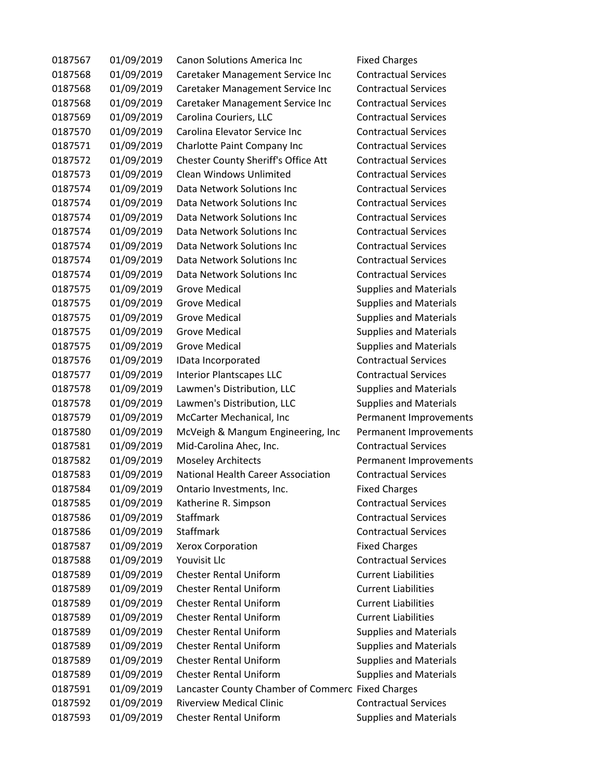| 0187567 | 01/09/2019 | <b>Canon Solutions America Inc.</b>               | <b>Fixed Charges</b>          |
|---------|------------|---------------------------------------------------|-------------------------------|
| 0187568 | 01/09/2019 | Caretaker Management Service Inc                  | <b>Contractual Services</b>   |
| 0187568 | 01/09/2019 | Caretaker Management Service Inc                  | <b>Contractual Services</b>   |
| 0187568 | 01/09/2019 | Caretaker Management Service Inc                  | <b>Contractual Services</b>   |
| 0187569 | 01/09/2019 | Carolina Couriers, LLC                            | <b>Contractual Services</b>   |
| 0187570 | 01/09/2019 | Carolina Elevator Service Inc                     | <b>Contractual Services</b>   |
| 0187571 | 01/09/2019 | Charlotte Paint Company Inc                       | <b>Contractual Services</b>   |
| 0187572 | 01/09/2019 | Chester County Sheriff's Office Att               | <b>Contractual Services</b>   |
| 0187573 | 01/09/2019 | <b>Clean Windows Unlimited</b>                    | <b>Contractual Services</b>   |
| 0187574 | 01/09/2019 | Data Network Solutions Inc                        | <b>Contractual Services</b>   |
| 0187574 | 01/09/2019 | Data Network Solutions Inc                        | <b>Contractual Services</b>   |
| 0187574 | 01/09/2019 | Data Network Solutions Inc                        | <b>Contractual Services</b>   |
| 0187574 | 01/09/2019 | Data Network Solutions Inc                        | <b>Contractual Services</b>   |
| 0187574 | 01/09/2019 | Data Network Solutions Inc                        | <b>Contractual Services</b>   |
| 0187574 | 01/09/2019 | Data Network Solutions Inc                        | <b>Contractual Services</b>   |
| 0187574 | 01/09/2019 | Data Network Solutions Inc                        | <b>Contractual Services</b>   |
| 0187575 | 01/09/2019 | <b>Grove Medical</b>                              | <b>Supplies and Materials</b> |
| 0187575 | 01/09/2019 | <b>Grove Medical</b>                              | <b>Supplies and Materials</b> |
| 0187575 | 01/09/2019 | <b>Grove Medical</b>                              | <b>Supplies and Materials</b> |
| 0187575 | 01/09/2019 | <b>Grove Medical</b>                              | <b>Supplies and Materials</b> |
| 0187575 | 01/09/2019 | <b>Grove Medical</b>                              | <b>Supplies and Materials</b> |
| 0187576 | 01/09/2019 | IData Incorporated                                | <b>Contractual Services</b>   |
| 0187577 | 01/09/2019 | <b>Interior Plantscapes LLC</b>                   | <b>Contractual Services</b>   |
| 0187578 | 01/09/2019 | Lawmen's Distribution, LLC                        | <b>Supplies and Materials</b> |
| 0187578 | 01/09/2019 | Lawmen's Distribution, LLC                        | <b>Supplies and Materials</b> |
| 0187579 | 01/09/2019 | McCarter Mechanical, Inc                          | Permanent Improvements        |
| 0187580 | 01/09/2019 | McVeigh & Mangum Engineering, Inc                 | Permanent Improvements        |
| 0187581 | 01/09/2019 | Mid-Carolina Ahec, Inc.                           | <b>Contractual Services</b>   |
| 0187582 | 01/09/2019 | <b>Moseley Architects</b>                         | Permanent Improvements        |
| 0187583 | 01/09/2019 | <b>National Health Career Association</b>         | <b>Contractual Services</b>   |
| 0187584 | 01/09/2019 | Ontario Investments, Inc.                         | <b>Fixed Charges</b>          |
| 0187585 | 01/09/2019 | Katherine R. Simpson                              | <b>Contractual Services</b>   |
| 0187586 | 01/09/2019 | Staffmark                                         | <b>Contractual Services</b>   |
| 0187586 | 01/09/2019 | Staffmark                                         | <b>Contractual Services</b>   |
| 0187587 | 01/09/2019 | <b>Xerox Corporation</b>                          | <b>Fixed Charges</b>          |
| 0187588 | 01/09/2019 | Youvisit Llc                                      | <b>Contractual Services</b>   |
| 0187589 | 01/09/2019 | <b>Chester Rental Uniform</b>                     | <b>Current Liabilities</b>    |
| 0187589 | 01/09/2019 | <b>Chester Rental Uniform</b>                     | <b>Current Liabilities</b>    |
| 0187589 | 01/09/2019 | <b>Chester Rental Uniform</b>                     | <b>Current Liabilities</b>    |
| 0187589 | 01/09/2019 | <b>Chester Rental Uniform</b>                     | <b>Current Liabilities</b>    |
| 0187589 | 01/09/2019 | <b>Chester Rental Uniform</b>                     | <b>Supplies and Materials</b> |
| 0187589 | 01/09/2019 | <b>Chester Rental Uniform</b>                     | <b>Supplies and Materials</b> |
| 0187589 | 01/09/2019 | <b>Chester Rental Uniform</b>                     | <b>Supplies and Materials</b> |
| 0187589 | 01/09/2019 | <b>Chester Rental Uniform</b>                     | <b>Supplies and Materials</b> |
| 0187591 | 01/09/2019 | Lancaster County Chamber of Commerc Fixed Charges |                               |
| 0187592 | 01/09/2019 | <b>Riverview Medical Clinic</b>                   | <b>Contractual Services</b>   |
| 0187593 | 01/09/2019 | <b>Chester Rental Uniform</b>                     | <b>Supplies and Materials</b> |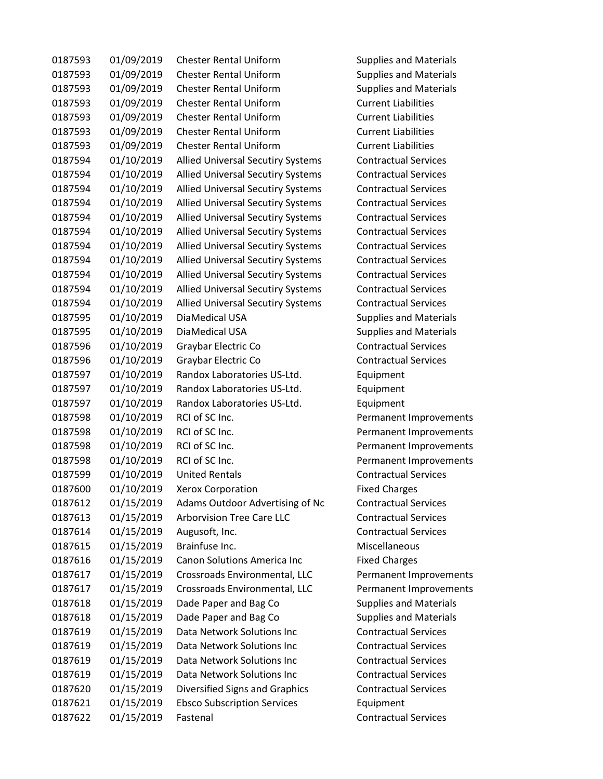| 0187593 | 01/09/2019 | <b>Chester Rental Uniform</b>            | <b>Supplies and Materials</b> |
|---------|------------|------------------------------------------|-------------------------------|
| 0187593 | 01/09/2019 | <b>Chester Rental Uniform</b>            | <b>Supplies and Materials</b> |
| 0187593 | 01/09/2019 | <b>Chester Rental Uniform</b>            | <b>Supplies and Materials</b> |
| 0187593 | 01/09/2019 | <b>Chester Rental Uniform</b>            | <b>Current Liabilities</b>    |
| 0187593 | 01/09/2019 | <b>Chester Rental Uniform</b>            | <b>Current Liabilities</b>    |
| 0187593 | 01/09/2019 | <b>Chester Rental Uniform</b>            | <b>Current Liabilities</b>    |
| 0187593 | 01/09/2019 | <b>Chester Rental Uniform</b>            | <b>Current Liabilities</b>    |
| 0187594 | 01/10/2019 | Allied Universal Secutiry Systems        | <b>Contractual Services</b>   |
| 0187594 | 01/10/2019 | <b>Allied Universal Secutiry Systems</b> | <b>Contractual Services</b>   |
| 0187594 | 01/10/2019 | <b>Allied Universal Secutiry Systems</b> | <b>Contractual Services</b>   |
| 0187594 | 01/10/2019 | <b>Allied Universal Secutiry Systems</b> | <b>Contractual Services</b>   |
| 0187594 | 01/10/2019 | <b>Allied Universal Secutiry Systems</b> | <b>Contractual Services</b>   |
| 0187594 | 01/10/2019 | <b>Allied Universal Secutiry Systems</b> | <b>Contractual Services</b>   |
| 0187594 | 01/10/2019 | <b>Allied Universal Secutiry Systems</b> | <b>Contractual Services</b>   |
| 0187594 | 01/10/2019 | Allied Universal Secutiry Systems        | <b>Contractual Services</b>   |
| 0187594 | 01/10/2019 | <b>Allied Universal Secutiry Systems</b> | <b>Contractual Services</b>   |
| 0187594 | 01/10/2019 | Allied Universal Secutiry Systems        | <b>Contractual Services</b>   |
| 0187594 | 01/10/2019 | <b>Allied Universal Secutiry Systems</b> | <b>Contractual Services</b>   |
| 0187595 | 01/10/2019 | DiaMedical USA                           | <b>Supplies and Materials</b> |
| 0187595 | 01/10/2019 | DiaMedical USA                           | <b>Supplies and Materials</b> |
| 0187596 | 01/10/2019 | Graybar Electric Co                      | <b>Contractual Services</b>   |
| 0187596 | 01/10/2019 | Graybar Electric Co                      | <b>Contractual Services</b>   |
| 0187597 | 01/10/2019 | Randox Laboratories US-Ltd.              | Equipment                     |
| 0187597 | 01/10/2019 | Randox Laboratories US-Ltd.              | Equipment                     |
| 0187597 | 01/10/2019 | Randox Laboratories US-Ltd.              | Equipment                     |
| 0187598 | 01/10/2019 | RCI of SC Inc.                           | Permanent Improvements        |
| 0187598 | 01/10/2019 | RCI of SC Inc.                           | Permanent Improvements        |
| 0187598 | 01/10/2019 | RCI of SC Inc.                           | Permanent Improvements        |
| 0187598 | 01/10/2019 | RCI of SC Inc.                           | Permanent Improvements        |
| 0187599 | 01/10/2019 | <b>United Rentals</b>                    | <b>Contractual Services</b>   |
| 0187600 | 01/10/2019 | <b>Xerox Corporation</b>                 | <b>Fixed Charges</b>          |
| 0187612 | 01/15/2019 | Adams Outdoor Advertising of Nc          | <b>Contractual Services</b>   |
| 0187613 | 01/15/2019 | <b>Arborvision Tree Care LLC</b>         | <b>Contractual Services</b>   |
| 0187614 | 01/15/2019 | Augusoft, Inc.                           | <b>Contractual Services</b>   |
| 0187615 | 01/15/2019 | Brainfuse Inc.                           | Miscellaneous                 |
| 0187616 | 01/15/2019 | <b>Canon Solutions America Inc</b>       | <b>Fixed Charges</b>          |
| 0187617 | 01/15/2019 | Crossroads Environmental, LLC            | Permanent Improvements        |
| 0187617 | 01/15/2019 | Crossroads Environmental, LLC            | Permanent Improvements        |
| 0187618 | 01/15/2019 | Dade Paper and Bag Co                    | <b>Supplies and Materials</b> |
| 0187618 | 01/15/2019 | Dade Paper and Bag Co                    | <b>Supplies and Materials</b> |
| 0187619 | 01/15/2019 | Data Network Solutions Inc               | <b>Contractual Services</b>   |
| 0187619 | 01/15/2019 | Data Network Solutions Inc               | <b>Contractual Services</b>   |
| 0187619 | 01/15/2019 | Data Network Solutions Inc               | <b>Contractual Services</b>   |
| 0187619 | 01/15/2019 | Data Network Solutions Inc               | <b>Contractual Services</b>   |
| 0187620 | 01/15/2019 | Diversified Signs and Graphics           | <b>Contractual Services</b>   |
| 0187621 | 01/15/2019 | <b>Ebsco Subscription Services</b>       | Equipment                     |
| 0187622 | 01/15/2019 | Fastenal                                 | <b>Contractual Services</b>   |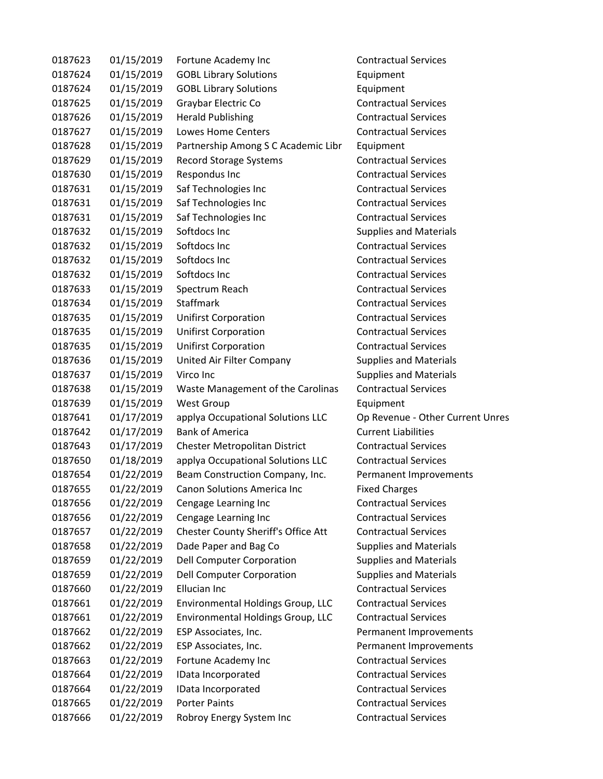| 0187623 | 01/15/2019 | Fortune Academy Inc                 | <b>Contractual Services</b>      |
|---------|------------|-------------------------------------|----------------------------------|
| 0187624 | 01/15/2019 | <b>GOBL Library Solutions</b>       | Equipment                        |
| 0187624 | 01/15/2019 | <b>GOBL Library Solutions</b>       | Equipment                        |
| 0187625 | 01/15/2019 | Graybar Electric Co                 | <b>Contractual Services</b>      |
| 0187626 | 01/15/2019 | <b>Herald Publishing</b>            | <b>Contractual Services</b>      |
| 0187627 | 01/15/2019 | <b>Lowes Home Centers</b>           | <b>Contractual Services</b>      |
| 0187628 | 01/15/2019 | Partnership Among S C Academic Libr | Equipment                        |
| 0187629 | 01/15/2019 | <b>Record Storage Systems</b>       | <b>Contractual Services</b>      |
| 0187630 | 01/15/2019 | Respondus Inc                       | <b>Contractual Services</b>      |
| 0187631 | 01/15/2019 | Saf Technologies Inc                | <b>Contractual Services</b>      |
| 0187631 | 01/15/2019 | Saf Technologies Inc                | <b>Contractual Services</b>      |
| 0187631 | 01/15/2019 | Saf Technologies Inc                | <b>Contractual Services</b>      |
| 0187632 | 01/15/2019 | Softdocs Inc                        | <b>Supplies and Materials</b>    |
| 0187632 | 01/15/2019 | Softdocs Inc                        | <b>Contractual Services</b>      |
| 0187632 | 01/15/2019 | Softdocs Inc                        | <b>Contractual Services</b>      |
| 0187632 | 01/15/2019 | Softdocs Inc                        | <b>Contractual Services</b>      |
| 0187633 | 01/15/2019 | Spectrum Reach                      | <b>Contractual Services</b>      |
| 0187634 | 01/15/2019 | <b>Staffmark</b>                    | <b>Contractual Services</b>      |
| 0187635 | 01/15/2019 | <b>Unifirst Corporation</b>         | <b>Contractual Services</b>      |
| 0187635 | 01/15/2019 | <b>Unifirst Corporation</b>         | <b>Contractual Services</b>      |
| 0187635 | 01/15/2019 | <b>Unifirst Corporation</b>         | <b>Contractual Services</b>      |
| 0187636 | 01/15/2019 | United Air Filter Company           | <b>Supplies and Materials</b>    |
| 0187637 | 01/15/2019 | Virco Inc                           | <b>Supplies and Materials</b>    |
| 0187638 | 01/15/2019 | Waste Management of the Carolinas   | <b>Contractual Services</b>      |
| 0187639 | 01/15/2019 | <b>West Group</b>                   | Equipment                        |
| 0187641 | 01/17/2019 | applya Occupational Solutions LLC   | Op Revenue - Other Current Unres |
| 0187642 | 01/17/2019 | <b>Bank of America</b>              | <b>Current Liabilities</b>       |
| 0187643 | 01/17/2019 | Chester Metropolitan District       | <b>Contractual Services</b>      |
| 0187650 | 01/18/2019 | applya Occupational Solutions LLC   | <b>Contractual Services</b>      |
| 0187654 | 01/22/2019 | Beam Construction Company, Inc.     | Permanent Improvements           |
| 0187655 | 01/22/2019 | <b>Canon Solutions America Inc</b>  | <b>Fixed Charges</b>             |
| 0187656 | 01/22/2019 | Cengage Learning Inc                | <b>Contractual Services</b>      |
| 0187656 | 01/22/2019 | Cengage Learning Inc                | <b>Contractual Services</b>      |
| 0187657 | 01/22/2019 | Chester County Sheriff's Office Att | <b>Contractual Services</b>      |
| 0187658 | 01/22/2019 | Dade Paper and Bag Co               | <b>Supplies and Materials</b>    |
| 0187659 | 01/22/2019 | <b>Dell Computer Corporation</b>    | <b>Supplies and Materials</b>    |
| 0187659 | 01/22/2019 | Dell Computer Corporation           | <b>Supplies and Materials</b>    |
| 0187660 | 01/22/2019 | Ellucian Inc                        | <b>Contractual Services</b>      |
| 0187661 | 01/22/2019 | Environmental Holdings Group, LLC   | <b>Contractual Services</b>      |
| 0187661 | 01/22/2019 | Environmental Holdings Group, LLC   | <b>Contractual Services</b>      |
| 0187662 | 01/22/2019 | ESP Associates, Inc.                | Permanent Improvements           |
| 0187662 | 01/22/2019 | ESP Associates, Inc.                | Permanent Improvements           |
| 0187663 | 01/22/2019 | Fortune Academy Inc                 | <b>Contractual Services</b>      |
| 0187664 | 01/22/2019 | IData Incorporated                  | <b>Contractual Services</b>      |
| 0187664 | 01/22/2019 | IData Incorporated                  | <b>Contractual Services</b>      |
| 0187665 | 01/22/2019 | <b>Porter Paints</b>                | <b>Contractual Services</b>      |
| 0187666 | 01/22/2019 | Robroy Energy System Inc            | <b>Contractual Services</b>      |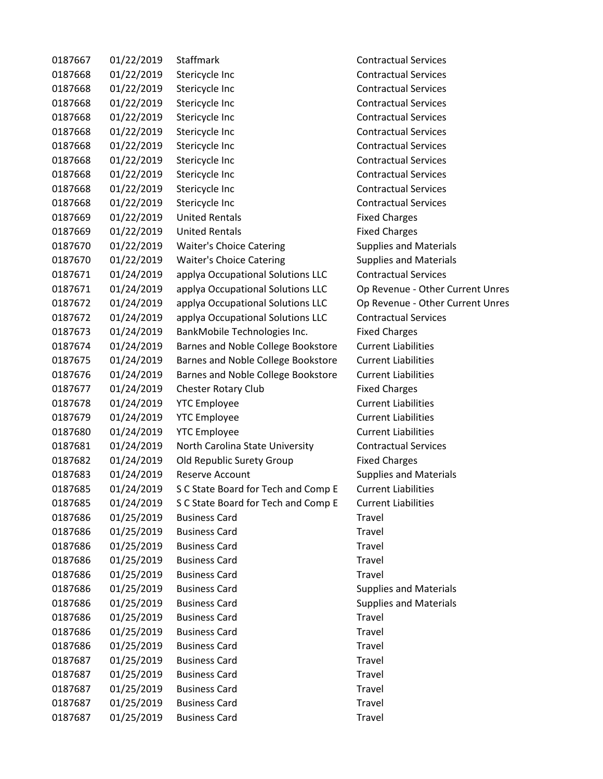| 0187667 | 01/22/2019 | Staffmark                           | <b>Contractual Services</b>      |
|---------|------------|-------------------------------------|----------------------------------|
| 0187668 | 01/22/2019 | Stericycle Inc                      | <b>Contractual Services</b>      |
| 0187668 | 01/22/2019 | Stericycle Inc                      | <b>Contractual Services</b>      |
| 0187668 | 01/22/2019 | Stericycle Inc                      | <b>Contractual Services</b>      |
| 0187668 | 01/22/2019 | Stericycle Inc                      | <b>Contractual Services</b>      |
| 0187668 | 01/22/2019 | Stericycle Inc                      | <b>Contractual Services</b>      |
| 0187668 | 01/22/2019 | Stericycle Inc                      | <b>Contractual Services</b>      |
| 0187668 | 01/22/2019 | Stericycle Inc                      | <b>Contractual Services</b>      |
| 0187668 | 01/22/2019 | Stericycle Inc                      | <b>Contractual Services</b>      |
| 0187668 | 01/22/2019 | Stericycle Inc                      | <b>Contractual Services</b>      |
| 0187668 | 01/22/2019 | Stericycle Inc                      | <b>Contractual Services</b>      |
| 0187669 | 01/22/2019 | <b>United Rentals</b>               | <b>Fixed Charges</b>             |
| 0187669 | 01/22/2019 | <b>United Rentals</b>               | <b>Fixed Charges</b>             |
| 0187670 | 01/22/2019 | <b>Waiter's Choice Catering</b>     | <b>Supplies and Materials</b>    |
| 0187670 | 01/22/2019 | <b>Waiter's Choice Catering</b>     | <b>Supplies and Materials</b>    |
| 0187671 | 01/24/2019 | applya Occupational Solutions LLC   | <b>Contractual Services</b>      |
| 0187671 | 01/24/2019 | applya Occupational Solutions LLC   | Op Revenue - Other Current Unres |
| 0187672 | 01/24/2019 | applya Occupational Solutions LLC   | Op Revenue - Other Current Unres |
| 0187672 | 01/24/2019 | applya Occupational Solutions LLC   | <b>Contractual Services</b>      |
| 0187673 | 01/24/2019 | BankMobile Technologies Inc.        | <b>Fixed Charges</b>             |
| 0187674 | 01/24/2019 | Barnes and Noble College Bookstore  | <b>Current Liabilities</b>       |
| 0187675 | 01/24/2019 | Barnes and Noble College Bookstore  | <b>Current Liabilities</b>       |
| 0187676 | 01/24/2019 | Barnes and Noble College Bookstore  | <b>Current Liabilities</b>       |
| 0187677 | 01/24/2019 | <b>Chester Rotary Club</b>          | <b>Fixed Charges</b>             |
| 0187678 | 01/24/2019 | <b>YTC Employee</b>                 | <b>Current Liabilities</b>       |
| 0187679 | 01/24/2019 | <b>YTC Employee</b>                 | <b>Current Liabilities</b>       |
| 0187680 | 01/24/2019 | <b>YTC Employee</b>                 | <b>Current Liabilities</b>       |
| 0187681 | 01/24/2019 | North Carolina State University     | <b>Contractual Services</b>      |
| 0187682 | 01/24/2019 | Old Republic Surety Group           | <b>Fixed Charges</b>             |
| 0187683 | 01/24/2019 | <b>Reserve Account</b>              | <b>Supplies and Materials</b>    |
| 0187685 | 01/24/2019 | S C State Board for Tech and Comp E | <b>Current Liabilities</b>       |
| 0187685 | 01/24/2019 | S C State Board for Tech and Comp E | <b>Current Liabilities</b>       |
| 0187686 | 01/25/2019 | <b>Business Card</b>                | Travel                           |
| 0187686 | 01/25/2019 | <b>Business Card</b>                | Travel                           |
| 0187686 | 01/25/2019 | <b>Business Card</b>                | Travel                           |
| 0187686 | 01/25/2019 | <b>Business Card</b>                | <b>Travel</b>                    |
| 0187686 | 01/25/2019 | <b>Business Card</b>                | Travel                           |
| 0187686 | 01/25/2019 | <b>Business Card</b>                | <b>Supplies and Materials</b>    |
| 0187686 | 01/25/2019 | <b>Business Card</b>                | <b>Supplies and Materials</b>    |
| 0187686 | 01/25/2019 | <b>Business Card</b>                | Travel                           |
| 0187686 | 01/25/2019 | <b>Business Card</b>                | Travel                           |
| 0187686 | 01/25/2019 | <b>Business Card</b>                | Travel                           |
| 0187687 | 01/25/2019 | <b>Business Card</b>                | Travel                           |
| 0187687 | 01/25/2019 | <b>Business Card</b>                | Travel                           |
| 0187687 | 01/25/2019 | <b>Business Card</b>                | Travel                           |
| 0187687 | 01/25/2019 | <b>Business Card</b>                | Travel                           |
| 0187687 | 01/25/2019 | <b>Business Card</b>                | Travel                           |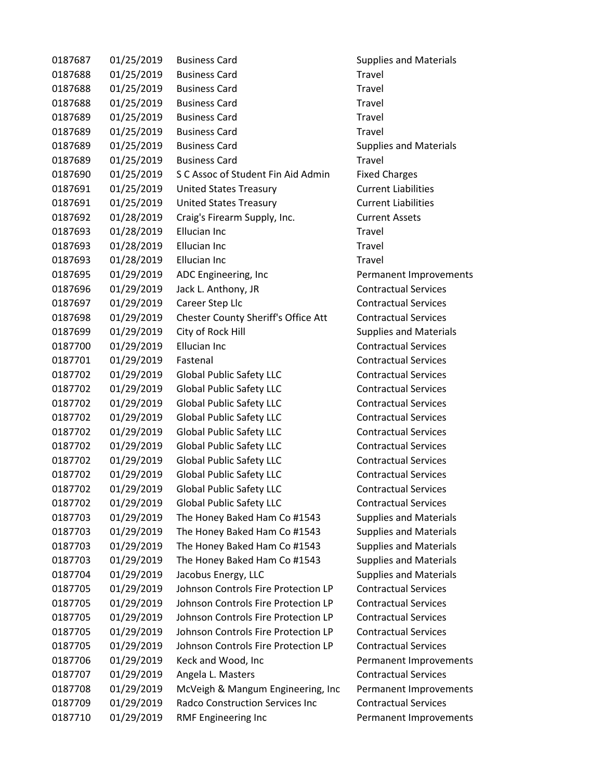| 0187687 | 01/25/2019 | <b>Business Card</b>                   | <b>Supplies and Materials</b> |
|---------|------------|----------------------------------------|-------------------------------|
| 0187688 | 01/25/2019 | <b>Business Card</b>                   | Travel                        |
| 0187688 | 01/25/2019 | <b>Business Card</b>                   | Travel                        |
| 0187688 | 01/25/2019 | <b>Business Card</b>                   | <b>Travel</b>                 |
| 0187689 | 01/25/2019 | <b>Business Card</b>                   | Travel                        |
| 0187689 | 01/25/2019 | <b>Business Card</b>                   | Travel                        |
| 0187689 | 01/25/2019 | <b>Business Card</b>                   | <b>Supplies and Materials</b> |
| 0187689 | 01/25/2019 | <b>Business Card</b>                   | Travel                        |
| 0187690 | 01/25/2019 | S C Assoc of Student Fin Aid Admin     | <b>Fixed Charges</b>          |
| 0187691 | 01/25/2019 | <b>United States Treasury</b>          | <b>Current Liabilities</b>    |
| 0187691 | 01/25/2019 | <b>United States Treasury</b>          | <b>Current Liabilities</b>    |
| 0187692 | 01/28/2019 | Craig's Firearm Supply, Inc.           | <b>Current Assets</b>         |
| 0187693 | 01/28/2019 | Ellucian Inc                           | Travel                        |
| 0187693 | 01/28/2019 | <b>Ellucian Inc</b>                    | Travel                        |
| 0187693 | 01/28/2019 | Ellucian Inc                           | <b>Travel</b>                 |
| 0187695 | 01/29/2019 | ADC Engineering, Inc                   | Permanent Improvements        |
| 0187696 | 01/29/2019 | Jack L. Anthony, JR                    | <b>Contractual Services</b>   |
| 0187697 | 01/29/2019 | Career Step Llc                        | <b>Contractual Services</b>   |
| 0187698 | 01/29/2019 | Chester County Sheriff's Office Att    | <b>Contractual Services</b>   |
| 0187699 | 01/29/2019 | City of Rock Hill                      | <b>Supplies and Materials</b> |
| 0187700 | 01/29/2019 | <b>Ellucian Inc</b>                    | <b>Contractual Services</b>   |
| 0187701 | 01/29/2019 | Fastenal                               | <b>Contractual Services</b>   |
| 0187702 | 01/29/2019 | <b>Global Public Safety LLC</b>        | <b>Contractual Services</b>   |
| 0187702 | 01/29/2019 | <b>Global Public Safety LLC</b>        | <b>Contractual Services</b>   |
| 0187702 | 01/29/2019 | <b>Global Public Safety LLC</b>        | <b>Contractual Services</b>   |
| 0187702 | 01/29/2019 | <b>Global Public Safety LLC</b>        | <b>Contractual Services</b>   |
| 0187702 | 01/29/2019 | <b>Global Public Safety LLC</b>        | <b>Contractual Services</b>   |
| 0187702 | 01/29/2019 | <b>Global Public Safety LLC</b>        | <b>Contractual Services</b>   |
| 0187702 | 01/29/2019 | <b>Global Public Safety LLC</b>        | <b>Contractual Services</b>   |
| 0187702 | 01/29/2019 | <b>Global Public Safety LLC</b>        | <b>Contractual Services</b>   |
| 0187702 | 01/29/2019 | <b>Global Public Safety LLC</b>        | <b>Contractual Services</b>   |
| 0187702 | 01/29/2019 | <b>Global Public Safety LLC</b>        | <b>Contractual Services</b>   |
| 0187703 | 01/29/2019 | The Honey Baked Ham Co #1543           | <b>Supplies and Materials</b> |
| 0187703 | 01/29/2019 | The Honey Baked Ham Co #1543           | <b>Supplies and Materials</b> |
| 0187703 | 01/29/2019 | The Honey Baked Ham Co #1543           | <b>Supplies and Materials</b> |
| 0187703 | 01/29/2019 | The Honey Baked Ham Co #1543           | <b>Supplies and Materials</b> |
| 0187704 | 01/29/2019 | Jacobus Energy, LLC                    | <b>Supplies and Materials</b> |
| 0187705 | 01/29/2019 | Johnson Controls Fire Protection LP    | <b>Contractual Services</b>   |
| 0187705 | 01/29/2019 | Johnson Controls Fire Protection LP    | <b>Contractual Services</b>   |
| 0187705 | 01/29/2019 | Johnson Controls Fire Protection LP    | <b>Contractual Services</b>   |
| 0187705 | 01/29/2019 | Johnson Controls Fire Protection LP    | <b>Contractual Services</b>   |
| 0187705 | 01/29/2019 | Johnson Controls Fire Protection LP    | <b>Contractual Services</b>   |
| 0187706 | 01/29/2019 | Keck and Wood, Inc                     | Permanent Improvements        |
| 0187707 | 01/29/2019 | Angela L. Masters                      | <b>Contractual Services</b>   |
| 0187708 | 01/29/2019 | McVeigh & Mangum Engineering, Inc      | <b>Permanent Improvements</b> |
| 0187709 | 01/29/2019 | <b>Radco Construction Services Inc</b> | <b>Contractual Services</b>   |
| 0187710 | 01/29/2019 | RMF Engineering Inc                    | Permanent Improvements        |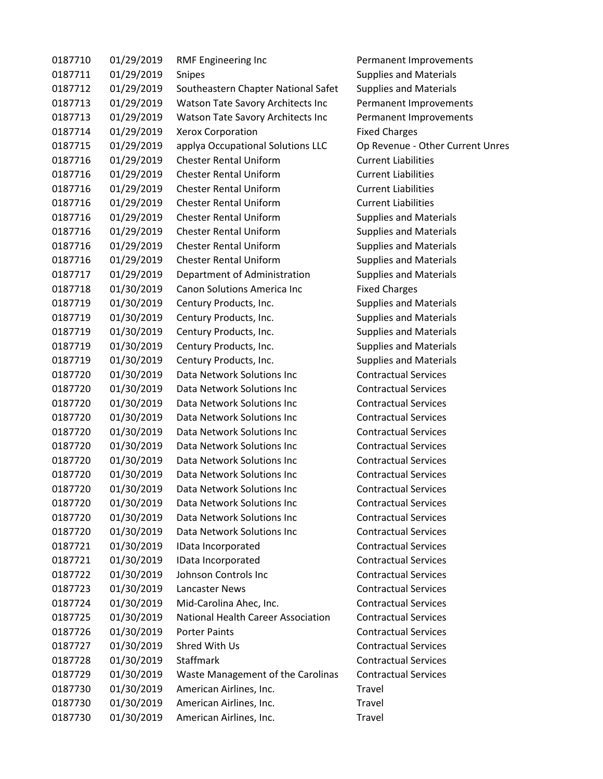| 0187710 | 01/29/2019 | <b>RMF Engineering Inc</b>                | Permanent Improvements           |
|---------|------------|-------------------------------------------|----------------------------------|
| 0187711 | 01/29/2019 | Snipes                                    | <b>Supplies and Materials</b>    |
| 0187712 | 01/29/2019 | Southeastern Chapter National Safet       | <b>Supplies and Materials</b>    |
| 0187713 | 01/29/2019 | Watson Tate Savory Architects Inc         | Permanent Improvements           |
| 0187713 | 01/29/2019 | Watson Tate Savory Architects Inc         | Permanent Improvements           |
| 0187714 | 01/29/2019 | <b>Xerox Corporation</b>                  | <b>Fixed Charges</b>             |
| 0187715 | 01/29/2019 | applya Occupational Solutions LLC         | Op Revenue - Other Current Unres |
| 0187716 | 01/29/2019 | <b>Chester Rental Uniform</b>             | <b>Current Liabilities</b>       |
| 0187716 | 01/29/2019 | <b>Chester Rental Uniform</b>             | <b>Current Liabilities</b>       |
| 0187716 | 01/29/2019 | <b>Chester Rental Uniform</b>             | <b>Current Liabilities</b>       |
| 0187716 | 01/29/2019 | <b>Chester Rental Uniform</b>             | <b>Current Liabilities</b>       |
| 0187716 | 01/29/2019 | <b>Chester Rental Uniform</b>             | <b>Supplies and Materials</b>    |
| 0187716 | 01/29/2019 | <b>Chester Rental Uniform</b>             | <b>Supplies and Materials</b>    |
| 0187716 | 01/29/2019 | <b>Chester Rental Uniform</b>             | <b>Supplies and Materials</b>    |
| 0187716 | 01/29/2019 | <b>Chester Rental Uniform</b>             | <b>Supplies and Materials</b>    |
| 0187717 | 01/29/2019 | Department of Administration              | <b>Supplies and Materials</b>    |
| 0187718 | 01/30/2019 | <b>Canon Solutions America Inc.</b>       | <b>Fixed Charges</b>             |
| 0187719 | 01/30/2019 | Century Products, Inc.                    | <b>Supplies and Materials</b>    |
| 0187719 | 01/30/2019 | Century Products, Inc.                    | <b>Supplies and Materials</b>    |
| 0187719 | 01/30/2019 | Century Products, Inc.                    | <b>Supplies and Materials</b>    |
| 0187719 | 01/30/2019 | Century Products, Inc.                    | <b>Supplies and Materials</b>    |
| 0187719 | 01/30/2019 | Century Products, Inc.                    | <b>Supplies and Materials</b>    |
| 0187720 | 01/30/2019 | Data Network Solutions Inc                | <b>Contractual Services</b>      |
| 0187720 | 01/30/2019 | Data Network Solutions Inc                | <b>Contractual Services</b>      |
| 0187720 | 01/30/2019 | Data Network Solutions Inc                | <b>Contractual Services</b>      |
| 0187720 | 01/30/2019 | Data Network Solutions Inc                | <b>Contractual Services</b>      |
| 0187720 | 01/30/2019 | Data Network Solutions Inc                | <b>Contractual Services</b>      |
| 0187720 | 01/30/2019 | Data Network Solutions Inc                | <b>Contractual Services</b>      |
| 0187720 | 01/30/2019 | Data Network Solutions Inc                | <b>Contractual Services</b>      |
| 0187720 | 01/30/2019 | Data Network Solutions Inc                | <b>Contractual Services</b>      |
| 0187720 | 01/30/2019 | Data Network Solutions Inc                | <b>Contractual Services</b>      |
| 0187720 | 01/30/2019 | Data Network Solutions Inc                | <b>Contractual Services</b>      |
| 0187720 | 01/30/2019 | Data Network Solutions Inc                | <b>Contractual Services</b>      |
| 0187720 | 01/30/2019 | Data Network Solutions Inc                | <b>Contractual Services</b>      |
| 0187721 | 01/30/2019 | IData Incorporated                        | <b>Contractual Services</b>      |
| 0187721 | 01/30/2019 | IData Incorporated                        | <b>Contractual Services</b>      |
| 0187722 | 01/30/2019 | Johnson Controls Inc                      | <b>Contractual Services</b>      |
| 0187723 | 01/30/2019 | Lancaster News                            | <b>Contractual Services</b>      |
| 0187724 | 01/30/2019 | Mid-Carolina Ahec, Inc.                   | <b>Contractual Services</b>      |
| 0187725 | 01/30/2019 | <b>National Health Career Association</b> | <b>Contractual Services</b>      |
| 0187726 | 01/30/2019 | <b>Porter Paints</b>                      | <b>Contractual Services</b>      |
| 0187727 | 01/30/2019 | Shred With Us                             | <b>Contractual Services</b>      |
| 0187728 | 01/30/2019 | Staffmark                                 | <b>Contractual Services</b>      |
| 0187729 | 01/30/2019 | Waste Management of the Carolinas         | <b>Contractual Services</b>      |
| 0187730 | 01/30/2019 | American Airlines, Inc.                   | Travel                           |
| 0187730 | 01/30/2019 | American Airlines, Inc.                   | Travel                           |
| 0187730 | 01/30/2019 | American Airlines, Inc.                   | Travel                           |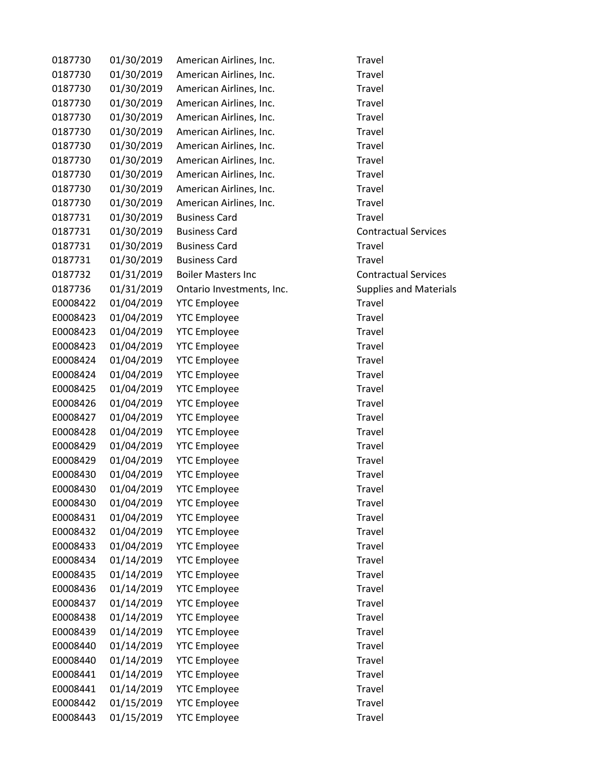| 0187730  | 01/30/2019 | American Airlines, Inc.   | Travel                        |
|----------|------------|---------------------------|-------------------------------|
| 0187730  | 01/30/2019 | American Airlines, Inc.   | Travel                        |
| 0187730  | 01/30/2019 | American Airlines, Inc.   | Travel                        |
| 0187730  | 01/30/2019 | American Airlines, Inc.   | Travel                        |
| 0187730  | 01/30/2019 | American Airlines, Inc.   | Travel                        |
| 0187730  | 01/30/2019 | American Airlines, Inc.   | Travel                        |
| 0187730  | 01/30/2019 | American Airlines, Inc.   | Travel                        |
| 0187730  | 01/30/2019 | American Airlines, Inc.   | Travel                        |
| 0187730  | 01/30/2019 | American Airlines, Inc.   | Travel                        |
| 0187730  | 01/30/2019 | American Airlines, Inc.   | Travel                        |
| 0187730  | 01/30/2019 | American Airlines, Inc.   | Travel                        |
| 0187731  | 01/30/2019 | <b>Business Card</b>      | Travel                        |
| 0187731  | 01/30/2019 | <b>Business Card</b>      | <b>Contractual Services</b>   |
| 0187731  | 01/30/2019 | <b>Business Card</b>      | <b>Travel</b>                 |
| 0187731  | 01/30/2019 | <b>Business Card</b>      | Travel                        |
| 0187732  | 01/31/2019 | <b>Boiler Masters Inc</b> | <b>Contractual Services</b>   |
| 0187736  | 01/31/2019 | Ontario Investments, Inc. | <b>Supplies and Materials</b> |
| E0008422 | 01/04/2019 | <b>YTC Employee</b>       | Travel                        |
| E0008423 | 01/04/2019 | <b>YTC Employee</b>       | Travel                        |
| E0008423 | 01/04/2019 | <b>YTC Employee</b>       | Travel                        |
| E0008423 | 01/04/2019 | <b>YTC Employee</b>       | Travel                        |
| E0008424 | 01/04/2019 | <b>YTC Employee</b>       | Travel                        |
| E0008424 | 01/04/2019 | <b>YTC Employee</b>       | Travel                        |
| E0008425 | 01/04/2019 | <b>YTC Employee</b>       | Travel                        |
| E0008426 | 01/04/2019 | <b>YTC Employee</b>       | Travel                        |
| E0008427 | 01/04/2019 | <b>YTC Employee</b>       | Travel                        |
| E0008428 | 01/04/2019 | <b>YTC Employee</b>       | Travel                        |
| E0008429 | 01/04/2019 | <b>YTC Employee</b>       | Travel                        |
| E0008429 | 01/04/2019 | <b>YTC Employee</b>       | Travel                        |
| E0008430 | 01/04/2019 | <b>YTC Employee</b>       | Travel                        |
| E0008430 | 01/04/2019 | <b>YTC Employee</b>       | Travel                        |
| E0008430 | 01/04/2019 | <b>YTC Employee</b>       | Travel                        |
| E0008431 | 01/04/2019 | <b>YTC Employee</b>       | Travel                        |
| E0008432 | 01/04/2019 | <b>YTC Employee</b>       | Travel                        |
| E0008433 | 01/04/2019 | <b>YTC Employee</b>       | Travel                        |
| E0008434 | 01/14/2019 | <b>YTC Employee</b>       | <b>Travel</b>                 |
| E0008435 | 01/14/2019 | <b>YTC Employee</b>       | Travel                        |
| E0008436 | 01/14/2019 | <b>YTC Employee</b>       | Travel                        |
| E0008437 | 01/14/2019 | <b>YTC Employee</b>       | <b>Travel</b>                 |
| E0008438 | 01/14/2019 | <b>YTC Employee</b>       | Travel                        |
| E0008439 | 01/14/2019 | <b>YTC Employee</b>       | Travel                        |
| E0008440 | 01/14/2019 | <b>YTC Employee</b>       | Travel                        |
| E0008440 | 01/14/2019 | <b>YTC Employee</b>       | <b>Travel</b>                 |
| E0008441 | 01/14/2019 | <b>YTC Employee</b>       | Travel                        |
| E0008441 | 01/14/2019 | <b>YTC Employee</b>       | Travel                        |
| E0008442 | 01/15/2019 | <b>YTC Employee</b>       | Travel                        |
| E0008443 | 01/15/2019 | <b>YTC Employee</b>       | Travel                        |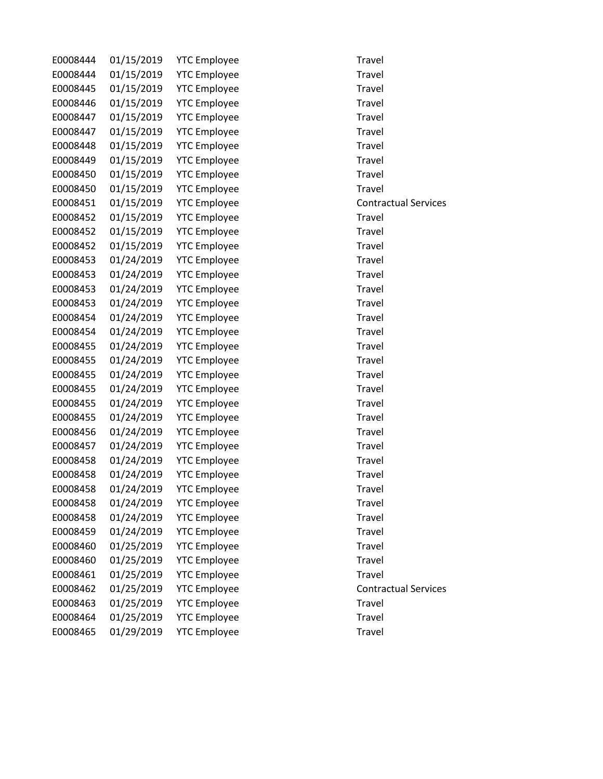| E0008444 | 01/15/2019 | <b>YTC Employee</b> | Travel                      |
|----------|------------|---------------------|-----------------------------|
| E0008444 | 01/15/2019 | <b>YTC Employee</b> | Travel                      |
| E0008445 | 01/15/2019 | <b>YTC Employee</b> | Travel                      |
| E0008446 | 01/15/2019 | <b>YTC Employee</b> | Travel                      |
| E0008447 | 01/15/2019 | <b>YTC Employee</b> | Travel                      |
| E0008447 | 01/15/2019 | <b>YTC Employee</b> | Travel                      |
| E0008448 | 01/15/2019 | <b>YTC Employee</b> | Travel                      |
| E0008449 | 01/15/2019 | <b>YTC Employee</b> | Travel                      |
| E0008450 | 01/15/2019 | <b>YTC Employee</b> | Travel                      |
| E0008450 | 01/15/2019 | <b>YTC Employee</b> | Travel                      |
| E0008451 | 01/15/2019 | <b>YTC Employee</b> | <b>Contractual Services</b> |
| E0008452 | 01/15/2019 | <b>YTC Employee</b> | Travel                      |
| E0008452 | 01/15/2019 | <b>YTC Employee</b> | Travel                      |
| E0008452 | 01/15/2019 | <b>YTC Employee</b> | Travel                      |
| E0008453 | 01/24/2019 | <b>YTC Employee</b> | Travel                      |
| E0008453 | 01/24/2019 | <b>YTC Employee</b> | Travel                      |
| E0008453 | 01/24/2019 | <b>YTC Employee</b> | Travel                      |
| E0008453 | 01/24/2019 | <b>YTC Employee</b> | Travel                      |
| E0008454 | 01/24/2019 | <b>YTC Employee</b> | Travel                      |
| E0008454 | 01/24/2019 | <b>YTC Employee</b> | Travel                      |
| E0008455 | 01/24/2019 | <b>YTC Employee</b> | Travel                      |
| E0008455 | 01/24/2019 | <b>YTC Employee</b> | Travel                      |
| E0008455 | 01/24/2019 | <b>YTC Employee</b> | Travel                      |
| E0008455 | 01/24/2019 | <b>YTC Employee</b> | Travel                      |
| E0008455 | 01/24/2019 | <b>YTC Employee</b> | Travel                      |
| E0008455 | 01/24/2019 | <b>YTC Employee</b> | Travel                      |
| E0008456 | 01/24/2019 | <b>YTC Employee</b> | Travel                      |
| E0008457 | 01/24/2019 | <b>YTC Employee</b> | Travel                      |
| E0008458 | 01/24/2019 | <b>YTC Employee</b> | Travel                      |
| E0008458 | 01/24/2019 | <b>YTC Employee</b> | Travel                      |
| E0008458 | 01/24/2019 | <b>YTC Employee</b> | Travel                      |
| E0008458 | 01/24/2019 | <b>YTC Employee</b> | Travel                      |
| E0008458 | 01/24/2019 | <b>YTC Employee</b> | Travel                      |
| E0008459 | 01/24/2019 | <b>YTC Employee</b> | Travel                      |
| E0008460 | 01/25/2019 | <b>YTC Employee</b> | Travel                      |
| E0008460 | 01/25/2019 | <b>YTC Employee</b> | Travel                      |
| E0008461 | 01/25/2019 | <b>YTC Employee</b> | Travel                      |
| E0008462 | 01/25/2019 | <b>YTC Employee</b> | <b>Contractual Services</b> |
| E0008463 | 01/25/2019 | <b>YTC Employee</b> | Travel                      |
| E0008464 | 01/25/2019 | <b>YTC Employee</b> | Travel                      |
| E0008465 | 01/29/2019 | <b>YTC Employee</b> | Travel                      |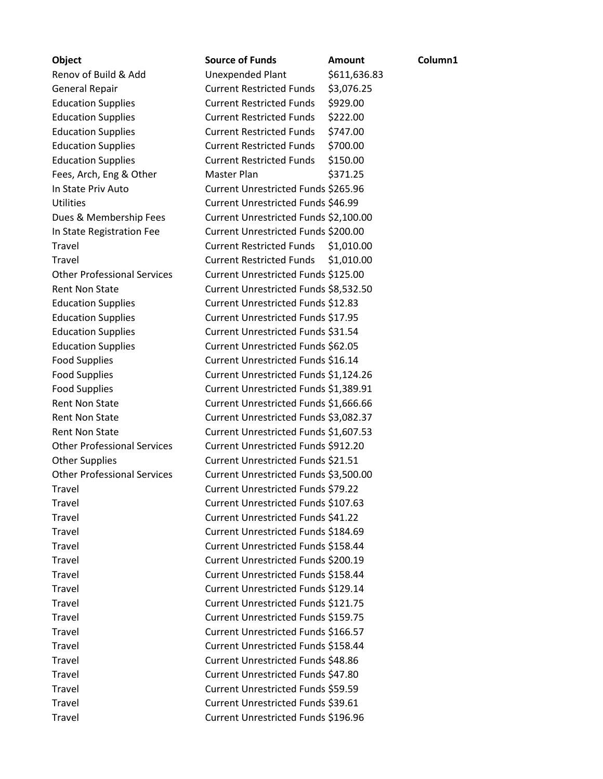| <b>Object</b>                      | <b>Source of Funds</b>                | <b>Amount</b> | Column1 |
|------------------------------------|---------------------------------------|---------------|---------|
| Renov of Build & Add               | <b>Unexpended Plant</b>               | \$611,636.83  |         |
| <b>General Repair</b>              | <b>Current Restricted Funds</b>       | \$3,076.25    |         |
| <b>Education Supplies</b>          | <b>Current Restricted Funds</b>       | \$929.00      |         |
| <b>Education Supplies</b>          | <b>Current Restricted Funds</b>       | \$222.00      |         |
| <b>Education Supplies</b>          | <b>Current Restricted Funds</b>       | \$747.00      |         |
| <b>Education Supplies</b>          | <b>Current Restricted Funds</b>       | \$700.00      |         |
| <b>Education Supplies</b>          | <b>Current Restricted Funds</b>       | \$150.00      |         |
| Fees, Arch, Eng & Other            | <b>Master Plan</b>                    | \$371.25      |         |
| In State Priv Auto                 | Current Unrestricted Funds \$265.96   |               |         |
| <b>Utilities</b>                   | Current Unrestricted Funds \$46.99    |               |         |
| Dues & Membership Fees             | Current Unrestricted Funds \$2,100.00 |               |         |
| In State Registration Fee          | Current Unrestricted Funds \$200.00   |               |         |
| Travel                             | <b>Current Restricted Funds</b>       | \$1,010.00    |         |
| Travel                             | <b>Current Restricted Funds</b>       | \$1,010.00    |         |
| <b>Other Professional Services</b> | Current Unrestricted Funds \$125.00   |               |         |
| <b>Rent Non State</b>              | Current Unrestricted Funds \$8,532.50 |               |         |
| <b>Education Supplies</b>          | Current Unrestricted Funds \$12.83    |               |         |
| <b>Education Supplies</b>          | Current Unrestricted Funds \$17.95    |               |         |
| <b>Education Supplies</b>          | Current Unrestricted Funds \$31.54    |               |         |
| <b>Education Supplies</b>          | Current Unrestricted Funds \$62.05    |               |         |
| <b>Food Supplies</b>               | Current Unrestricted Funds \$16.14    |               |         |
| <b>Food Supplies</b>               | Current Unrestricted Funds \$1,124.26 |               |         |
| <b>Food Supplies</b>               | Current Unrestricted Funds \$1,389.91 |               |         |
| <b>Rent Non State</b>              | Current Unrestricted Funds \$1,666.66 |               |         |
| <b>Rent Non State</b>              | Current Unrestricted Funds \$3,082.37 |               |         |
| <b>Rent Non State</b>              | Current Unrestricted Funds \$1,607.53 |               |         |
| <b>Other Professional Services</b> | Current Unrestricted Funds \$912.20   |               |         |
| <b>Other Supplies</b>              | Current Unrestricted Funds \$21.51    |               |         |
| <b>Other Professional Services</b> | Current Unrestricted Funds \$3,500.00 |               |         |
| Travel                             | Current Unrestricted Funds \$79.22    |               |         |
| Travel                             | Current Unrestricted Funds \$107.63   |               |         |
| Travel                             | Current Unrestricted Funds \$41.22    |               |         |
| Travel                             | Current Unrestricted Funds \$184.69   |               |         |
| Travel                             | Current Unrestricted Funds \$158.44   |               |         |
| <b>Travel</b>                      | Current Unrestricted Funds \$200.19   |               |         |
| Travel                             | Current Unrestricted Funds \$158.44   |               |         |
| Travel                             | Current Unrestricted Funds \$129.14   |               |         |
| Travel                             | Current Unrestricted Funds \$121.75   |               |         |
| Travel                             | Current Unrestricted Funds \$159.75   |               |         |
| Travel                             | Current Unrestricted Funds \$166.57   |               |         |
| Travel                             | Current Unrestricted Funds \$158.44   |               |         |
| Travel                             | Current Unrestricted Funds \$48.86    |               |         |
| Travel                             | Current Unrestricted Funds \$47.80    |               |         |
| Travel                             | Current Unrestricted Funds \$59.59    |               |         |
| Travel                             | Current Unrestricted Funds \$39.61    |               |         |
| Travel                             | Current Unrestricted Funds \$196.96   |               |         |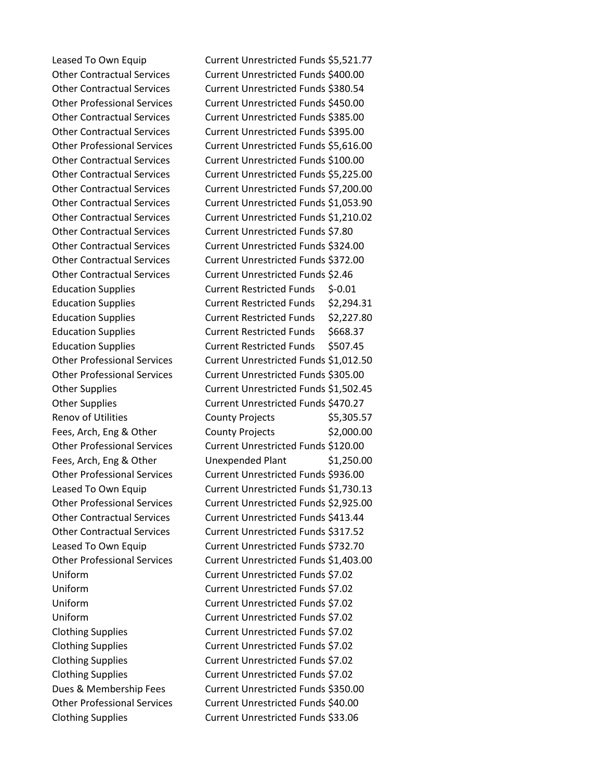Leased To Own Equip Current Unrestricted Funds \$5,521.77 Other Contractual Services Current Unrestricted Funds \$400.00 Other Contractual Services Current Unrestricted Funds \$380.54 Other Professional Services Current Unrestricted Funds \$450.00 Other Contractual Services Current Unrestricted Funds \$385.00 Other Contractual Services Current Unrestricted Funds \$395.00 Other Professional Services Current Unrestricted Funds \$5,616.00 Other Contractual Services Current Unrestricted Funds \$100.00 Other Contractual Services Current Unrestricted Funds \$5,225.00 Other Contractual Services Current Unrestricted Funds \$7,200.00 Other Contractual Services Current Unrestricted Funds \$1,053.90 Other Contractual Services Current Unrestricted Funds \$1,210.02 Other Contractual Services Current Unrestricted Funds \$7.80 Other Contractual Services Current Unrestricted Funds \$324.00 Other Contractual Services Current Unrestricted Funds \$372.00 Other Contractual Services Current Unrestricted Funds \$2.46 Education Supplies Current Restricted Funds \$-0.01 Education Supplies **Current Restricted Funds** \$2,294.31 Education Supplies Current Restricted Funds \$2,227.80 Education Supplies Current Restricted Funds \$668.37 Education Supplies Current Restricted Funds \$507.45 Other Professional Services Current Unrestricted Funds \$1,012.50 Other Professional Services Current Unrestricted Funds \$305.00 Other Supplies Current Unrestricted Funds \$1,502.45 Other Supplies Current Unrestricted Funds \$470.27 Renov of Utilities County Projects \$5,305.57 Fees, Arch, Eng & Other County Projects \$2,000.00 Other Professional Services Current Unrestricted Funds \$120.00 Fees, Arch, Eng & Other Unexpended Plant \$1,250.00 Other Professional Services Current Unrestricted Funds \$936.00 Leased To Own Equip Current Unrestricted Funds \$1,730.13 Other Professional Services Current Unrestricted Funds \$2,925.00 Other Contractual Services Current Unrestricted Funds \$413.44 Other Contractual Services Current Unrestricted Funds \$317.52 Leased To Own Equip Current Unrestricted Funds \$732.70 Other Professional Services Current Unrestricted Funds \$1,403.00 Uniform Current Unrestricted Funds \$7.02 Uniform Current Unrestricted Funds \$7.02 Uniform Current Unrestricted Funds \$7.02 Uniform Current Unrestricted Funds \$7.02 Clothing Supplies Current Unrestricted Funds \$7.02 Clothing Supplies Current Unrestricted Funds \$7.02 Clothing Supplies Current Unrestricted Funds \$7.02 Clothing Supplies Current Unrestricted Funds \$7.02 Dues & Membership Fees Current Unrestricted Funds \$350.00 Other Professional Services Current Unrestricted Funds \$40.00 Clothing Supplies Current Unrestricted Funds \$33.06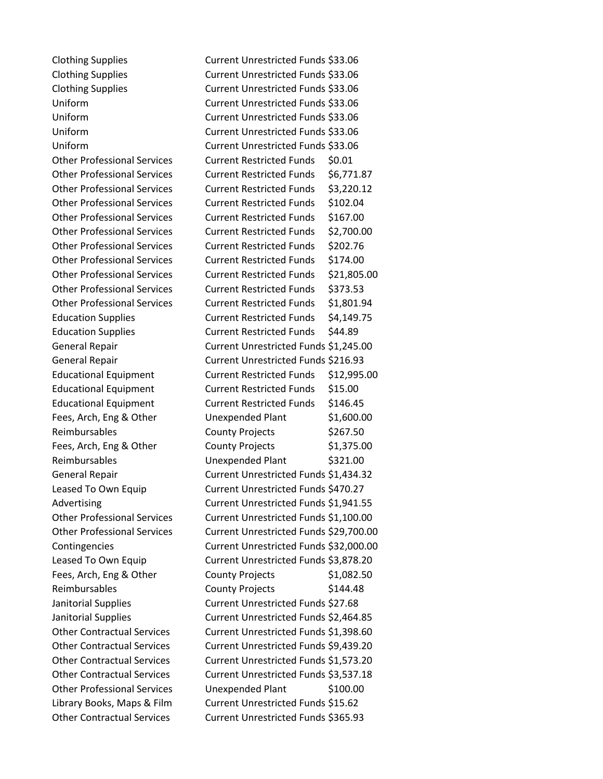Clothing Supplies Current Unrestricted Funds \$33.06 Clothing Supplies Current Unrestricted Funds \$33.06 Clothing Supplies Current Unrestricted Funds \$33.06 Uniform Current Unrestricted Funds \$33.06 Uniform Current Unrestricted Funds \$33.06 Uniform Current Unrestricted Funds \$33.06 Uniform Current Unrestricted Funds \$33.06 Other Professional Services Current Restricted Funds \$0.01 Other Professional Services Current Restricted Funds \$6,771.87 Other Professional Services Current Restricted Funds \$3,220.12 Other Professional Services Current Restricted Funds \$102.04 Other Professional Services Current Restricted Funds \$167.00 Other Professional Services Current Restricted Funds \$2,700.00 Other Professional Services Current Restricted Funds \$202.76 Other Professional Services Current Restricted Funds \$174.00 Other Professional Services Current Restricted Funds \$21,805.00 Other Professional Services Current Restricted Funds \$373.53 Other Professional Services Current Restricted Funds \$1,801.94 Education Supplies **Current Restricted Funds** \$4,149.75 Education Supplies Current Restricted Funds \$44.89 General Repair **Current Unrestricted Funds** \$1,245.00 General Repair Current Unrestricted Funds \$216.93 Educational Equipment Current Restricted Funds \$12,995.00 Educational Equipment Current Restricted Funds \$15.00 Educational Equipment Current Restricted Funds \$146.45 Fees, Arch, Eng & Other Unexpended Plant \$1,600.00 Reimbursables County Projects \$267.50 Fees, Arch, Eng & Other County Projects \$1,375.00 Reimbursables Unexpended Plant \$321.00 General Repair Current Unrestricted Funds \$1,434.32 Leased To Own Equip Current Unrestricted Funds \$470.27 Advertising Current Unrestricted Funds \$1,941.55 Other Professional Services Current Unrestricted Funds \$1,100.00 Other Professional Services Current Unrestricted Funds \$29,700.00 Contingencies Current Unrestricted Funds \$32,000.00 Leased To Own Equip Current Unrestricted Funds \$3,878.20 Fees, Arch, Eng & Other County Projects \$1,082.50 Reimbursables County Projects \$144.48 Janitorial Supplies Current Unrestricted Funds \$27.68 Janitorial Supplies Current Unrestricted Funds \$2,464.85 Other Contractual Services Current Unrestricted Funds \$1,398.60 Other Contractual Services Current Unrestricted Funds \$9,439.20 Other Contractual Services Current Unrestricted Funds \$1,573.20 Other Contractual Services Current Unrestricted Funds \$3,537.18 Other Professional Services Unexpended Plant \$100.00 Library Books, Maps & Film Current Unrestricted Funds \$15.62 Other Contractual Services Current Unrestricted Funds \$365.93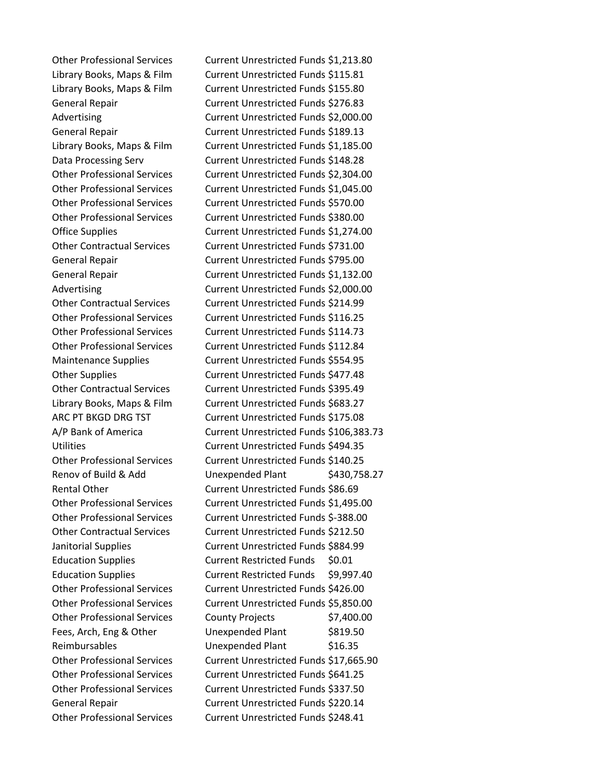Other Professional Services Current Unrestricted Funds \$1,213.80 Library Books, Maps & Film Current Unrestricted Funds \$115.81 Library Books, Maps & Film Current Unrestricted Funds \$155.80 General Repair Current Unrestricted Funds \$276.83 Advertising **Current Unrestricted Funds \$2,000.00** General Repair Current Unrestricted Funds \$189.13 Library Books, Maps & Film Current Unrestricted Funds \$1,185.00 Data Processing Serv **Current Unrestricted Funds \$148.28** Other Professional Services Current Unrestricted Funds \$2,304.00 Other Professional Services Current Unrestricted Funds \$1,045.00 Other Professional Services Current Unrestricted Funds \$570.00 Other Professional Services Current Unrestricted Funds \$380.00 Office Supplies Current Unrestricted Funds \$1,274.00 Other Contractual Services Current Unrestricted Funds \$731.00 General Repair Current Unrestricted Funds \$795.00 General Repair Current Unrestricted Funds \$1,132.00 Advertising Current Unrestricted Funds \$2,000.00 Other Contractual Services Current Unrestricted Funds \$214.99 Other Professional Services Current Unrestricted Funds \$116.25 Other Professional Services Current Unrestricted Funds \$114.73 Other Professional Services Current Unrestricted Funds \$112.84 Maintenance Supplies Current Unrestricted Funds \$554.95 Other Supplies Current Unrestricted Funds \$477.48 Other Contractual Services Current Unrestricted Funds \$395.49 Library Books, Maps & Film Current Unrestricted Funds \$683.27 ARC PT BKGD DRG TST Current Unrestricted Funds \$175.08 A/P Bank of America Current Unrestricted Funds \$106,383.73 Utilities Current Unrestricted Funds \$494.35 Other Professional Services Current Unrestricted Funds \$140.25 Renov of Build & Add Unexpended Plant \$430,758.27 Rental Other Current Unrestricted Funds \$86.69 Other Professional Services Current Unrestricted Funds \$1,495.00 Other Professional Services Current Unrestricted Funds \$-388.00 Other Contractual Services Current Unrestricted Funds \$212.50 Janitorial Supplies Current Unrestricted Funds \$884.99 Education Supplies **Current Restricted Funds** \$0.01 Education Supplies **Current Restricted Funds** \$9,997.40 Other Professional Services Current Unrestricted Funds \$426.00 Other Professional Services Current Unrestricted Funds \$5,850.00 Other Professional Services County Projects \$7,400.00 Fees, Arch, Eng & Other Unexpended Plant \$819.50 Reimbursables Unexpended Plant \$16.35 Other Professional Services Current Unrestricted Funds \$17,665.90 Other Professional Services Current Unrestricted Funds \$641.25 Other Professional Services Current Unrestricted Funds \$337.50 General Repair Current Unrestricted Funds \$220.14 Other Professional Services Current Unrestricted Funds \$248.41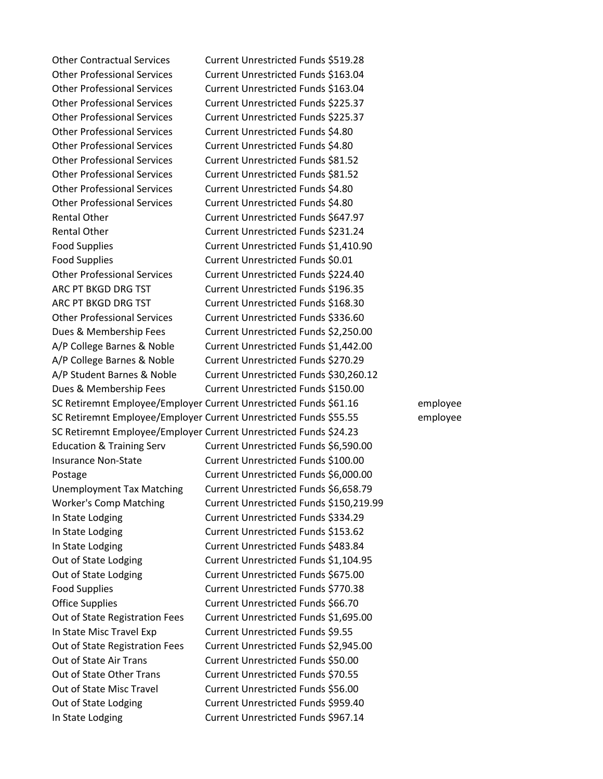Other Contractual Services Current Unrestricted Funds \$519.28 Other Professional Services Current Unrestricted Funds \$163.04 Other Professional Services Current Unrestricted Funds \$163.04 Other Professional Services Current Unrestricted Funds \$225.37 Other Professional Services Current Unrestricted Funds \$225.37 Other Professional Services Current Unrestricted Funds \$4.80 Other Professional Services Current Unrestricted Funds \$4.80 Other Professional Services Current Unrestricted Funds \$81.52 Other Professional Services Current Unrestricted Funds \$81.52 Other Professional Services Current Unrestricted Funds \$4.80 Other Professional Services Current Unrestricted Funds \$4.80 Rental Other Current Unrestricted Funds \$647.97 Rental Other **Current Unrestricted Funds** \$231.24 Food Supplies Current Unrestricted Funds \$1,410.90 Food Supplies Current Unrestricted Funds \$0.01 Other Professional Services Current Unrestricted Funds \$224.40 ARC PT BKGD DRG TST Current Unrestricted Funds \$196.35 ARC PT BKGD DRG TST Current Unrestricted Funds \$168.30 Other Professional Services Current Unrestricted Funds \$336.60 Dues & Membership Fees Current Unrestricted Funds \$2,250.00 A/P College Barnes & Noble Current Unrestricted Funds \$1,442.00 A/P College Barnes & Noble Current Unrestricted Funds \$270.29 A/P Student Barnes & Noble Current Unrestricted Funds \$30,260.12 Dues & Membership Fees Current Unrestricted Funds \$150.00 SC Retiremnt Employee/Employer Current Unrestricted Funds \$61.16 employee SC Retiremnt Employee/Employer Current Unrestricted Funds \$55.55 employee SC Retiremnt Employee/Employer Current Unrestricted Funds \$24.23 Education & Training Serv Current Unrestricted Funds \$6,590.00 Insurance Non-State Current Unrestricted Funds \$100.00 Postage Current Unrestricted Funds \$6,000.00 Unemployment Tax Matching Current Unrestricted Funds \$6,658.79 Worker's Comp Matching Current Unrestricted Funds \$150,219.99 In State Lodging Current Unrestricted Funds \$334.29 In State Lodging Current Unrestricted Funds \$153.62 In State Lodging Current Unrestricted Funds \$483.84 Out of State Lodging Current Unrestricted Funds \$1,104.95 Out of State Lodging Current Unrestricted Funds \$675.00 Food Supplies **Current Unrestricted Funds \$770.38** Office Supplies Current Unrestricted Funds \$66.70 Out of State Registration Fees Current Unrestricted Funds \$1,695.00 In State Misc Travel Exp Current Unrestricted Funds \$9.55 Out of State Registration Fees Current Unrestricted Funds \$2,945.00 Out of State Air Trans Current Unrestricted Funds \$50.00 Out of State Other Trans Current Unrestricted Funds \$70.55 Out of State Misc Travel Current Unrestricted Funds \$56.00 Out of State Lodging Current Unrestricted Funds \$959.40 In State Lodging Current Unrestricted Funds \$967.14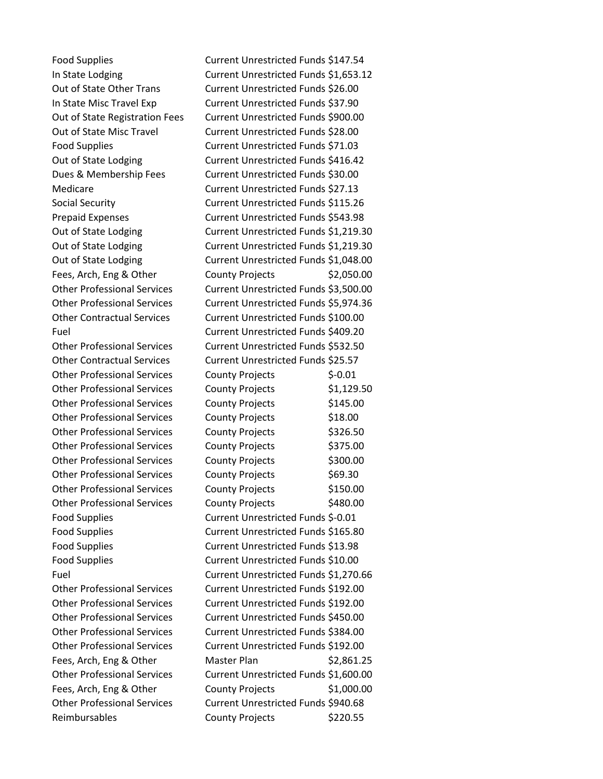Food Supplies Current Unrestricted Funds \$147.54 In State Lodging Current Unrestricted Funds \$1,653.12 Out of State Other Trans Current Unrestricted Funds \$26.00 In State Misc Travel Exp Current Unrestricted Funds \$37.90 Out of State Registration Fees Current Unrestricted Funds \$900.00 Out of State Misc Travel Current Unrestricted Funds \$28.00 Food Supplies Current Unrestricted Funds \$71.03 Out of State Lodging Current Unrestricted Funds \$416.42 Dues & Membership Fees Current Unrestricted Funds \$30.00 Medicare Current Unrestricted Funds \$27.13 Social Security Current Unrestricted Funds \$115.26 Prepaid Expenses Current Unrestricted Funds \$543.98 Out of State Lodging Current Unrestricted Funds \$1,219.30 Out of State Lodging Current Unrestricted Funds \$1,219.30 Out of State Lodging Current Unrestricted Funds \$1,048.00 Fees, Arch, Eng & Other County Projects \$2,050.00 Other Professional Services Current Unrestricted Funds \$3,500.00 Other Professional Services Current Unrestricted Funds \$5,974.36 Other Contractual Services Current Unrestricted Funds \$100.00 Fuel Current Unrestricted Funds \$409.20 Other Professional Services Current Unrestricted Funds \$532.50 Other Contractual Services Current Unrestricted Funds \$25.57 Other Professional Services County Projects \$-0.01 Other Professional Services County Projects \$1,129.50 Other Professional Services County Projects \$145.00 Other Professional Services County Projects \$18.00 Other Professional Services County Projects \$326.50 Other Professional Services County Projects \$375.00 Other Professional Services County Projects \$300.00 Other Professional Services County Projects \$69.30 Other Professional Services County Projects \$150.00 Other Professional Services County Projects \$480.00 Food Supplies **Current Unrestricted Funds \$-0.01** Food Supplies Current Unrestricted Funds \$165.80 Food Supplies Current Unrestricted Funds \$13.98 Food Supplies Current Unrestricted Funds \$10.00 Fuel Current Unrestricted Funds \$1,270.66 Other Professional Services Current Unrestricted Funds \$192.00 Other Professional Services Current Unrestricted Funds \$192.00 Other Professional Services Current Unrestricted Funds \$450.00 Other Professional Services Current Unrestricted Funds \$384.00 Other Professional Services Current Unrestricted Funds \$192.00 Fees, Arch, Eng & Other Master Plan \$2,861.25 Other Professional Services Current Unrestricted Funds \$1,600.00

Fees, Arch, Eng & Other County Projects \$1,000.00 Other Professional Services Current Unrestricted Funds \$940.68 Reimbursables County Projects \$220.55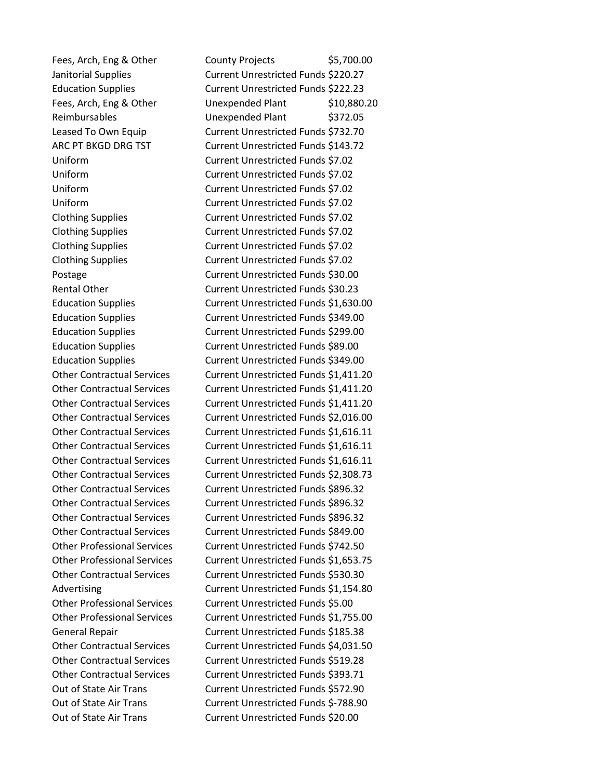Fees, Arch, Eng & Other County Projects \$5,700.00 Janitorial Supplies Current Unrestricted Funds \$220.27 Education Supplies Current Unrestricted Funds \$222.23 Fees, Arch, Eng & Other Unexpended Plant \$10,880.20 Reimbursables Unexpended Plant \$372.05 Leased To Own Equip Current Unrestricted Funds \$732.70 ARC PT BKGD DRG TST Current Unrestricted Funds \$143.72 Uniform Current Unrestricted Funds \$7.02 Uniform Current Unrestricted Funds \$7.02 Uniform Current Unrestricted Funds \$7.02 Uniform Current Unrestricted Funds \$7.02 Clothing Supplies Current Unrestricted Funds \$7.02 Clothing Supplies Current Unrestricted Funds \$7.02 Clothing Supplies Current Unrestricted Funds \$7.02 Clothing Supplies Current Unrestricted Funds \$7.02 Postage **Current Unrestricted Funds** \$30.00 Rental Other Current Unrestricted Funds \$30.23 Education Supplies Current Unrestricted Funds \$1,630.00 Education Supplies Current Unrestricted Funds \$349.00 Education Supplies Current Unrestricted Funds \$299.00 Education Supplies Current Unrestricted Funds \$89.00 Education Supplies Current Unrestricted Funds \$349.00 Other Contractual Services Current Unrestricted Funds \$1,411.20 Other Contractual Services Current Unrestricted Funds \$1,411.20 Other Contractual Services Current Unrestricted Funds \$1,411.20 Other Contractual Services Current Unrestricted Funds \$2,016.00 Other Contractual Services Current Unrestricted Funds \$1,616.11 Other Contractual Services Current Unrestricted Funds \$1,616.11 Other Contractual Services Current Unrestricted Funds \$1,616.11 Other Contractual Services Current Unrestricted Funds \$2,308.73 Other Contractual Services Current Unrestricted Funds \$896.32 Other Contractual Services Current Unrestricted Funds \$896.32 Other Contractual Services Current Unrestricted Funds \$896.32 Other Contractual Services Current Unrestricted Funds \$849.00 Other Professional Services Current Unrestricted Funds \$742.50 Other Professional Services Current Unrestricted Funds \$1,653.75 Other Contractual Services Current Unrestricted Funds \$530.30 Advertising Current Unrestricted Funds \$1,154.80 Other Professional Services Current Unrestricted Funds \$5.00 Other Professional Services Current Unrestricted Funds \$1,755.00 General Repair Current Unrestricted Funds \$185.38 Other Contractual Services Current Unrestricted Funds \$4,031.50 Other Contractual Services Current Unrestricted Funds \$519.28 Other Contractual Services Current Unrestricted Funds \$393.71 Out of State Air Trans Current Unrestricted Funds \$572.90 Out of State Air Trans Current Unrestricted Funds \$-788.90 Out of State Air Trans Current Unrestricted Funds \$20.00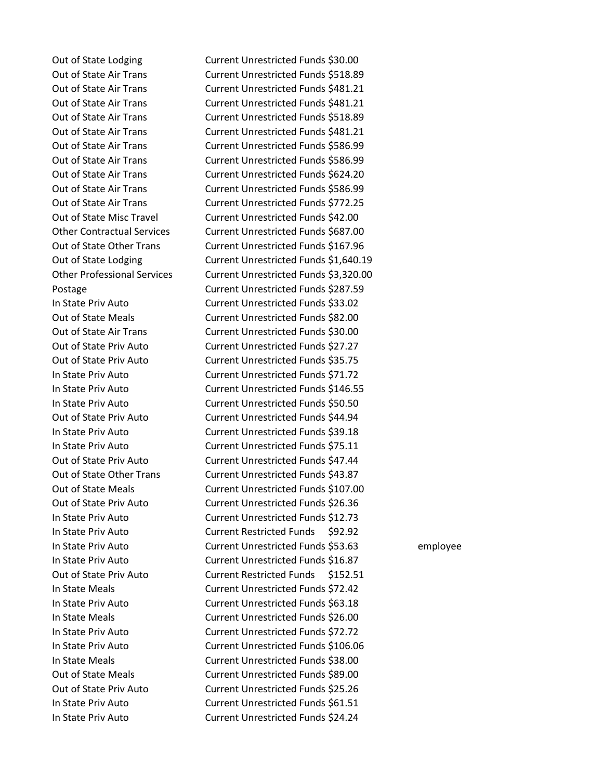Out of State Lodging Current Unrestricted Funds \$30.00 Out of State Air Trans Current Unrestricted Funds \$518.89 Out of State Air Trans Current Unrestricted Funds \$481.21 Out of State Air Trans Current Unrestricted Funds \$481.21 Out of State Air Trans Current Unrestricted Funds \$518.89 Out of State Air Trans Current Unrestricted Funds \$481.21 Out of State Air Trans Current Unrestricted Funds \$586.99 Out of State Air Trans Current Unrestricted Funds \$586.99 Out of State Air Trans Current Unrestricted Funds \$624.20 Out of State Air Trans Current Unrestricted Funds \$586.99 Out of State Air Trans Current Unrestricted Funds \$772.25 Out of State Misc Travel Current Unrestricted Funds \$42.00 Other Contractual Services Current Unrestricted Funds \$687.00 Out of State Other Trans Current Unrestricted Funds \$167.96 Out of State Lodging Current Unrestricted Funds \$1,640.19 Other Professional Services Current Unrestricted Funds \$3,320.00 Postage **Current Unrestricted Funds \$287.59** In State Priv Auto Current Unrestricted Funds \$33.02 Out of State Meals Current Unrestricted Funds \$82.00 Out of State Air Trans Current Unrestricted Funds \$30.00 Out of State Priv Auto Current Unrestricted Funds \$27.27 Out of State Priv Auto Current Unrestricted Funds \$35.75 In State Priv Auto Current Unrestricted Funds \$71.72 In State Priv Auto Current Unrestricted Funds \$146.55 In State Priv Auto Current Unrestricted Funds \$50.50 Out of State Priv Auto Current Unrestricted Funds \$44.94 In State Priv Auto Current Unrestricted Funds \$39.18 In State Priv Auto Current Unrestricted Funds \$75.11 Out of State Priv Auto Current Unrestricted Funds \$47.44 Out of State Other Trans Current Unrestricted Funds \$43.87 Out of State Meals Current Unrestricted Funds \$107.00 Out of State Priv Auto Current Unrestricted Funds \$26.36 In State Priv Auto Current Unrestricted Funds \$12.73 In State Priv Auto Current Restricted Funds \$92.92 In State Priv Auto Current Unrestricted Funds \$53.63 employee In State Priv Auto Current Unrestricted Funds \$16.87 Out of State Priv Auto Current Restricted Funds \$152.51 In State Meals Current Unrestricted Funds \$72.42 In State Priv Auto Current Unrestricted Funds \$63.18 In State Meals Current Unrestricted Funds \$26.00 In State Priv Auto Current Unrestricted Funds \$72.72 In State Priv Auto Current Unrestricted Funds \$106.06 In State Meals Current Unrestricted Funds \$38.00 Out of State Meals Current Unrestricted Funds \$89.00 Out of State Priv Auto Current Unrestricted Funds \$25.26 In State Priv Auto Current Unrestricted Funds \$61.51 In State Priv Auto Current Unrestricted Funds \$24.24